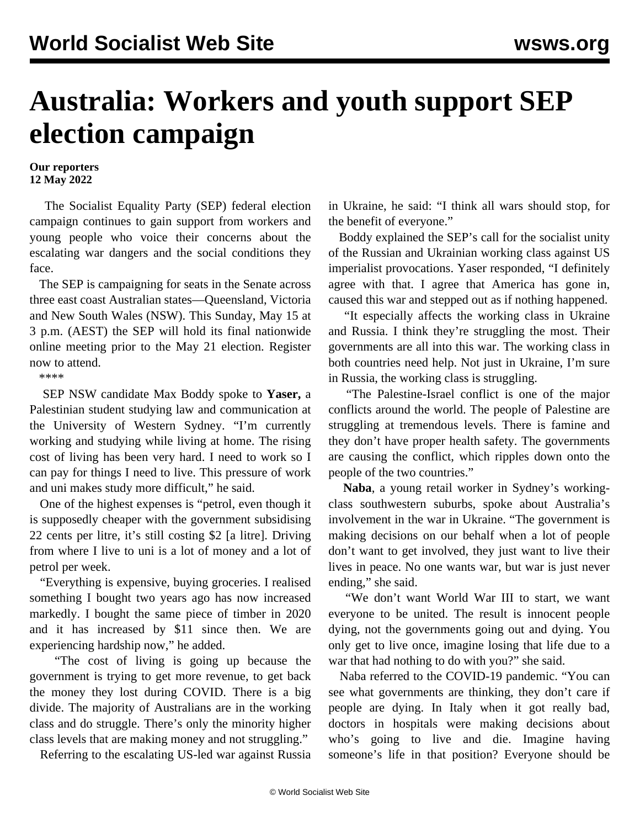## **Australia: Workers and youth support SEP election campaign**

## **Our reporters 12 May 2022**

 The Socialist Equality Party (SEP) federal election campaign continues to gain support from workers and young people who voice their concerns about the escalating war dangers and the social conditions they face.

 The SEP is campaigning for seats in the Senate across three east coast Australian states—Queensland, Victoria and New South Wales (NSW). This Sunday, May 15 at 3 p.m. (AEST) the SEP will hold its final nationwide online meeting prior to the May 21 election. [Register](https://us06web.zoom.us/webinar/register/WN_ZC1XejT8Sjuv1DcuVsn4oA) now to attend.

\*\*\*\*

 SEP NSW candidate Max Boddy spoke to **Yaser,** a Palestinian student studying law and communication at the University of Western Sydney. "I'm currently working and studying while living at home. The rising cost of living has been very hard. I need to work so I can pay for things I need to live. This pressure of work and uni makes study more difficult," he said.

 One of the highest expenses is "petrol, even though it is supposedly cheaper with the government subsidising 22 cents per litre, it's still costing \$2 [a litre]. Driving from where I live to uni is a lot of money and a lot of petrol per week.

 "Everything is expensive, buying groceries. I realised something I bought two years ago has now increased markedly. I bought the same piece of timber in 2020 and it has increased by \$11 since then. We are experiencing hardship now," he added.

 "The cost of living is going up because the government is trying to get more revenue, to get back the money they lost during COVID. There is a big divide. The majority of Australians are in the working class and do struggle. There's only the minority higher class levels that are making money and not struggling."

Referring to the escalating US-led war against Russia

in Ukraine, he said: "I think all wars should stop, for the benefit of everyone."

 Boddy explained the SEP's call for the socialist unity of the Russian and Ukrainian working class against US imperialist provocations. Yaser responded, "I definitely agree with that. I agree that America has gone in, caused this war and stepped out as if nothing happened.

 "It especially affects the working class in Ukraine and Russia. I think they're struggling the most. Their governments are all into this war. The working class in both countries need help. Not just in Ukraine, I'm sure in Russia, the working class is struggling.

 "The Palestine-Israel conflict is one of the major conflicts around the world. The people of Palestine are struggling at tremendous levels. There is famine and they don't have proper health safety. The governments are causing the conflict, which ripples down onto the people of the two countries."

 **Naba**, a young retail worker in Sydney's workingclass southwestern suburbs, spoke about Australia's involvement in the war in Ukraine. "The government is making decisions on our behalf when a lot of people don't want to get involved, they just want to live their lives in peace. No one wants war, but war is just never ending," she said.

 "We don't want World War III to start, we want everyone to be united. The result is innocent people dying, not the governments going out and dying. You only get to live once, imagine losing that life due to a war that had nothing to do with you?" she said.

 Naba referred to the COVID-19 pandemic. "You can see what governments are thinking, they don't care if people are dying. In Italy when it got really bad, doctors in hospitals were making decisions about who's going to live and die. Imagine having someone's life in that position? Everyone should be